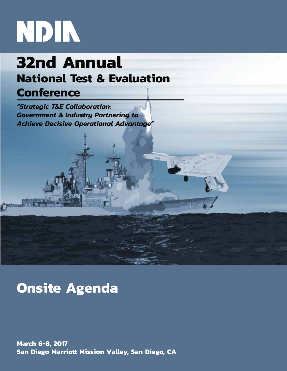# NDIN

# **32nd Annual National Test & Evaluation**

# **Conference**

*"Strategic T&E Collaboration: Government & Industry Partnering to Achieve Decisive Operational Advantage"* 

# **Onsite Agenda**

**March 6-8, 2017 San Diego Marriott Mission Valley, San Diego, CA**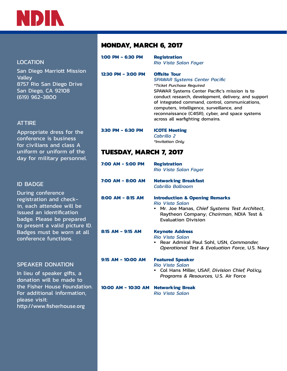

## LOCATION

San Diego Marriott Mission **Valley** 8757 Rio San Diego Drive San Diego, CA 92108 (619) 962-3800

## **ATTIRE**

Appropriate dress for the conference is business for civilians and class A uniform or uniform of the day for military personnel.

## ID BADGE

During conference registration and checkin, each attendee will be issued an identification badge. Please be prepared to present a valid picture ID. Badges must be worn at all conference functions.

## SPEAKER DONATION

In lieu of speaker gifts, a donation will be made to the Fisher House Foundation. For additional information, please visit: http://www.fisherhouse.org

## **MONDAY, MARCH 6, 2017**

| 1:00 PM - 6:30 PM  | <b>Registration</b><br><b>Rio Vista Salon Foyer</b>                                                                                                                                                                                                                                                                                                                                      |
|--------------------|------------------------------------------------------------------------------------------------------------------------------------------------------------------------------------------------------------------------------------------------------------------------------------------------------------------------------------------------------------------------------------------|
| 12:30 PM - 3:00 PM | <b>Offsite Tour</b><br><b>SPAWAR Systems Center Pacific</b><br>*Ticket Purchase Required<br>SPAWAR Systems Center Pacific's mission is to<br>conduct research, development, delivery, and supper<br>of integrated command, control, communications,<br>computers, intelligence, surveillance, and<br>reconnaissance (C4ISR), cyber, and space systems<br>across all warfighting domains. |
| 3:30 PM - 6:30 PM  | <b>ICOTE Meeting</b><br>Cabrillo 2<br>*Invitation Only                                                                                                                                                                                                                                                                                                                                   |

support

## **TUESDAY, MARCH 7, 2017**

| 7:00 AM - 5:00 PM     | <b>Registration</b><br>Rio Vista Salon Foyer                                                                                                                                                 |
|-----------------------|----------------------------------------------------------------------------------------------------------------------------------------------------------------------------------------------|
| 7:00 AM - 8:00 AM     | <b>Networking Breakfast</b><br>Cabrillo Ballroom                                                                                                                                             |
| $8:00$ AM - $8:15$ AM | <b>Introduction &amp; Opening Remarks</b><br><b>Rio Vista Salon</b><br>Mr. Joe Manas, Chief Systems Test Architect,<br>Raytheon Company; Chairman, NDIA Test &<br><b>Evaluation Division</b> |
| $8:15$ AM - 9:15 AM   | <b>Keynote Address</b><br><b>Rio Vista Salon</b><br>Rear Admiral Paul Sohl, USN, Commander,<br>Operational Test & Evaluation Force, U.S. Navy                                                |
| $9:15$ AM - 10:00 AM  | <b>Featured Speaker</b><br><b>Rio Vista Salon</b><br>• Col Hans Miller, USAF, Division Chief, Policy,<br><i>Programs &amp; Resources, U.S. Air Force</i>                                     |
| 10:00 AM - 10:30 AM   | <b>Networking Break</b><br><b>Rio Vista Salon</b>                                                                                                                                            |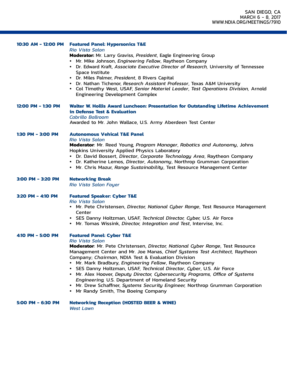| 10:30 AM - 12:00 PM | <b>Featured Panel: Hypersonics T&amp;E</b><br><b>Rio Vista Salon</b><br>Moderator: Mr. Larry Graviss, President, Eagle Engineering Group<br>• Mr. Mike Johnson, Engineering Fellow, Raytheon Company<br>• Dr. Edward Kraft, Associate Executive Director of Research, University of Tennessee<br>Space Institute<br>• Dr. Miles Palmer, President, 8 Rivers Capital<br>• Dr. Nathan Tichenor, Research Assistant Professor, Texas A&M University<br>• Col Timothy West, USAF, Senior Materiel Leader, Test Operations Division, Arnold<br><b>Engineering Development Complex</b>                                                                                                           |
|---------------------|--------------------------------------------------------------------------------------------------------------------------------------------------------------------------------------------------------------------------------------------------------------------------------------------------------------------------------------------------------------------------------------------------------------------------------------------------------------------------------------------------------------------------------------------------------------------------------------------------------------------------------------------------------------------------------------------|
| 12:00 PM - 1:30 PM  | Walter W. Hollis Award Luncheon: Presentation for Outstanding Lifetime Achievement<br>in Defense Test & Evaluation<br><b>Cabrillo Ballroom</b><br>Awarded to Mr. John Wallace, U.S. Army Aberdeen Test Center                                                                                                                                                                                                                                                                                                                                                                                                                                                                              |
| 1:30 PM - 3:00 PM   | <b>Autonomous Vehical T&amp;E Panel</b><br><b>Rio Vista Salon</b><br>Moderator: Mr. Reed Young, Program Manager, Robotics and Autonomy, Johns<br><b>Hopkins University Applied Physics Laboratory</b><br>• Dr. David Bossert, Director, Corporate Technology Area, Raytheon Company<br>• Dr. Katherine Lemos, Director, Autonomy, Northrop Grumman Corporation<br>• Mr. Chris Mazur, Range Sustainability, Test Resource Management Center                                                                                                                                                                                                                                                 |
| 3:00 PM - 3:20 PM   | <b>Networking Break</b><br><b>Rio Vista Salon Foyer</b>                                                                                                                                                                                                                                                                                                                                                                                                                                                                                                                                                                                                                                    |
| 3:20 PM - 4:10 PM   | <b>Featured Speaker: Cyber T&amp;E</b><br><b>Rio Vista Salon</b><br>• Mr. Pete Christensen, Director, National Cyber Range, Test Resource Management<br>Center<br>• SES Danny Holtzman, USAF, Technical Director, Cyber, U.S. Air Force<br>• Mr. Tomas Wissink, Director, Integration and Test, Intervise, Inc.                                                                                                                                                                                                                                                                                                                                                                            |
| 4:10 PM - 5:00 PM   | <b>Featured Panel: Cyber T&amp;E</b><br><b>Rio Vista Salon</b><br>Moderator: Mr. Pete Christensen, Director, National Cyber Range, Test Resource<br>Management Center and Mr. Joe Manas, Chief Systems Test Architect, Raytheon<br>Company; Chairman, NDIA Test & Evaluation Division<br>• Mr. Mark Bradbury, Engineering Fellow, Raytheon Company<br>• SES Danny Holtzman, USAF, Technical Director, Cyber, U.S. Air Force<br>• Mr. Alex Hoover, Deputy Director, Cybersecurity Programs, Office of Systems<br>Engineering, U.S. Department of Homeland Security<br>• Mr. Drew Schaffner, Systems Security Engineer, Northrop Grumman Corporation<br>• Mr Randy Smith, The Boeing Company |
| 5:00 PM - 6:30 PM   | <b>Networking Reception (HOSTED BEER &amp; WINE)</b><br><b>West Lawn</b>                                                                                                                                                                                                                                                                                                                                                                                                                                                                                                                                                                                                                   |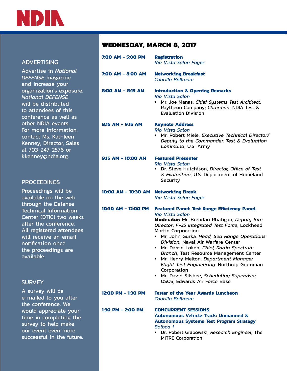

## ADVERTISING

Advertise in *National DEFENSE* magazine and increase your organization's exposure. *National DEFENSE*  will be distributed to attendees of this conference as well as other NDIA events. For more information, contact Ms. Kathleen Kenney, Director, Sales at 703-247-2576 or kkenney@ndia.org.

## **PROCEEDINGS**

Proceedings will be available on the web through the Defense Technical Information Center (DTIC) two weeks after the conference. All registered attendees will receive an email notification once the proceedings are available.

## **SURVEY**

A survey will be e-mailed to you after the conference. We would appreciate your time in completing the survey to help make our event even more successful in the future.

## **WEDNESDAY, MARCH 8, 2017**

| 7:00 AM - 5:00 PM    | <b>Registration</b><br><b>Rio Vista Salon Foyer</b>                                                                                                                                                                                                                                                                                                                                                                                                                                                                                                                             |  |
|----------------------|---------------------------------------------------------------------------------------------------------------------------------------------------------------------------------------------------------------------------------------------------------------------------------------------------------------------------------------------------------------------------------------------------------------------------------------------------------------------------------------------------------------------------------------------------------------------------------|--|
| 7:00 AM - 8:00 AM    | <b>Networking Breakfast</b><br>Cabrillo Ballroom                                                                                                                                                                                                                                                                                                                                                                                                                                                                                                                                |  |
| 8:00 AM - 8:15 AM    | <b>Introduction &amp; Opening Remarks</b><br><b>Rio Vista Salon</b><br>Mr. Joe Manas, Chief Systems Test Architect,<br>Raytheon Company; Chairman, NDIA Test &<br><b>Evaluation Division</b>                                                                                                                                                                                                                                                                                                                                                                                    |  |
| $8:15$ AM - 9:15 AM  | <b>Keynote Address</b><br><b>Rio Vista Salon</b><br>• Mr. Robert Miele, Executive Technical Director/<br>Deputy to the Commander, Test & Evaluation<br>Command, U.S. Army                                                                                                                                                                                                                                                                                                                                                                                                       |  |
| $9:15$ AM - 10:00 AM | <b>Featured Presenter</b><br><b>Rio Vista Salon</b><br>• Dr. Steve Hutchison, Director, Office of Test<br>& Evaluation, U.S. Department of Homeland<br><b>Security</b>                                                                                                                                                                                                                                                                                                                                                                                                          |  |
| 10:00 AM - 10:30 AM  | <b>Networking Break</b><br><b>Rio Vista Salon Foyer</b>                                                                                                                                                                                                                                                                                                                                                                                                                                                                                                                         |  |
| 10:30 AM - 12:00 PM  | <b>Featured Panel: Test Range Efficiency Panel</b><br><b>Rio Vista Salon</b><br>Moderator: Mr. Brendan Rhatigan, Deputy Site<br>Director, F-35 Integrated Test Force, Lockheed<br><b>Martin Corporation</b><br>• Mr. John Gurka, Head, Sea Range Operations<br>Division, Naval Air Warfare Center<br>· Mr. Darrin Loken, Chief, Radio Spectrum<br>Branch, Test Resource Management Center<br>• Mr. Henry Melton, Department Manager,<br>Flight Test Engineering, Northrop Grumman<br>Corporation<br>• Mr. David Silsbee, Scheduling Supervisor,<br>OSOS, Edwards Air Force Base |  |
| 12:00 PM - 1:30 PM   | <b>Tester of the Year Awards Luncheon</b><br>Cabrillo Ballroom                                                                                                                                                                                                                                                                                                                                                                                                                                                                                                                  |  |
| 1:30 PM - 2:00 PM    | <b>CONCURRENT SESSIONS</b><br><b>Autonomous Vehicle Track: Unmanned &amp;</b><br><b>Autonomous Systems Test Program Strategy</b><br><b>Balboa</b> 1<br>• Dr. Robert Grabowski, Research Engineer, The<br><b>MITRE Corporation</b>                                                                                                                                                                                                                                                                                                                                               |  |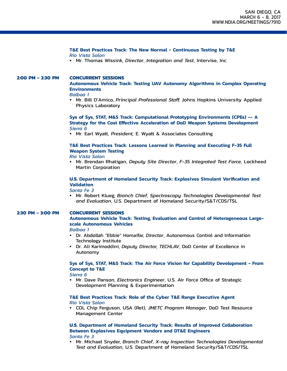#### **T&E Best Practices Track: The New Normal - Continuous Testing by T&E** *Rio Vista Salon*

• Mr. Thomas Wissink, *Director*, *Integration and Test*, Intervise, Inc.

### **2:00 PM - 2:30 PM CONCURRENT SESSIONS**

## **Autonomous Vehicle Track: Testing UAV Autonomy Algorithms in Complex Operating Environments**

### *Balboa 1*

• Mr. Bill D'Amico, *Principal Professional Staff,* Johns Hopkins University Applied Physics Laboratory

## **Sys of Sys, STAT, M&S Track: Computational Prototyping Environments (CPEs) -- A Strategy for the Cost Effective Acceleration of DoD Weapon Systems Development** *Sierra 6*

• Mr. Earl Wyatt, *President,* E. Wyatt & Associates Consulting

## **T&E Best Practices Track: Lessons Learned in Planning and Executing F-35 Full Weapon System Testing**

#### *Rio Vista Salon*

• Mr. Brendan Rhatigan, *Deputy Site Director*, *F-35 Integrated Test Force*, Lockheed Martin Corporation

## **U.S. Department of Homeland Security Track: Explosives Simulant Verification and Validation**

#### *Santa Fe 3*

• Mr. Robert Klueg, *Branch Chief*, *Spectroscopy Technologies Developmental Test and Evaluation*, U.S. Department of Homeland Security/S&T/CDS/TSL

#### **2:30 PM - 3:00 PM CONCURRENT SESSIONS**

**Autonomous Vehicle Track: Testing, Evaluation and Control of Heterogeneous Largescale Autonomous Vehicles**

#### *Balboa 1*

- Dr. Abdollah "Ebbie" Homaifar, *Director*, Autonomous Control and Information Technology Institute
- Dr. Ali Karimoddini, *Deputy Director, TECHLAV*, DoD Center of Excellence in Autonomy

## **Sys of Sys, STAT, M&S Track: The Air Force Vision for Capability Development - From Concept to T&E**

#### *Sierra 6*

• Mr. Dave Panson, *Electronics Engineer*, U.S. Air Force Office of Strategic Development Planning & Experimentation

### **T&E Best Practices Track: Role of the Cyber T&E Range Executive Agent** *Rio Vista Salon*

• COL Chip Ferguson, USA (Ret), *JMETC Program Manager*, DoD Test Resource Management Center

#### **U.S. Department of Homeland Security Track: Results of Improved Collaboration Between Explosives Equipment Vendors and DT&E Engineers** *Santa Fe 3*

• Mr. Michael Snyder, *Branch Chief*, *X-ray Inspection Technologies Developmental Test and Evaluation*, U.S. Department of Homeland Security/S&T/CDS/TSL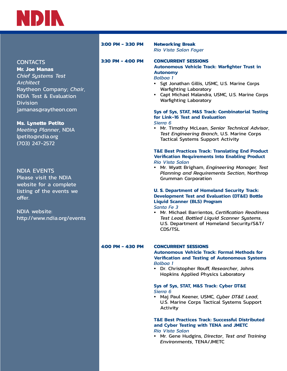

|  | <b>CONTACTS</b> |
|--|-----------------|
|  |                 |
|  |                 |

**Mr. Joe Manas** *Chief Systems Test Architect* Raytheon Company; *Chair*, NDIA Test & Evaluation **Division** jamanas@raytheon.com

**Ms. Lynette Petito** *Meeting Planner*, NDIA lpetito@ndia.org (703) 247-2572

## NDIA EVENTS

Please visit the NDIA website for a complete listing of the events we offer.

NDIA website: http://www.ndia.org/events

## **3:00 PM - 3:30 PM Networking Break**

*Rio Vista Salon Foyer*

## **3:30 PM - 4:00 PM CONCURRENT SESSIONS Autonomous Vehicle Track: Warfighter Trust in Autonomy**

*Balboa 1*

- Sgt Jonathan Gillis, USMC, U.S. Marine Corps Warfighting Laboratory
- Capt Michael Malandra, USMC, U.S. Marine Corps Warfighting Laboratory

#### **Sys of Sys, STAT, M&S Track: Combinatorial Testing for Link-16 Test and Evaluation**  *Sierra 6*

• Mr. Timothy McLean, *Senior Technical Advisor*, *Test Engineering Branch*, U.S. Marine Corps Tactical Systems Support Activity

## **T&E Best Practices Track: Translating End Product Verification Requirements Into Enabling Product** *Rio Vista Salon*

• Mr. Wyatt Brigham, *Engineering Manager, Test Planning and Requirements Section*, Northrop Grumman Corporation

## **U. S. Department of Homeland Security Track: Development Test and Evaluation (DT&E) Bottle Liquid Scanner (BLS) Program**

*Santa Fe 3*

• Mr. Michael Barrientos, *Certification Readiness Test Lead, Bottled Liquid Scanner Systems*, U.S. Department of Homeland Security/S&T/ CDS/TSL

## **4:00 PM - 4:30 PM CONCURRENT SESSIONS**

**Autonomous Vehicle Track: Formal Methods for Verification and Testing of Autonomous Systems** *Balboa 1*

• Dr. Christopher Rouff, *Researcher*, Johns Hopkins Applied Physics Laboratory

### **Sys of Sys, STAT, M&S Track: Cyber DT&E**  *Sierra 6*

• Maj Paul Keener, USMC, *Cyber DT&E Lead*, U.S. Marine Corps Tactical Systems Support Activity

## **T&E Best Practices Track: Successful Distributed and Cyber Testing with TENA and JMETC**

*Rio Vista Salon*

• Mr. Gene Hudgins, *Director*, *Test and Training Environments*, TENA/JMETC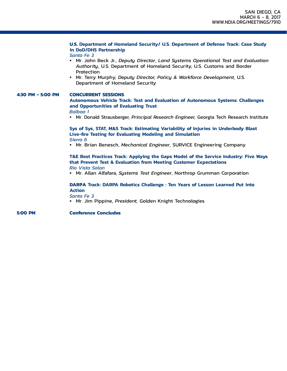## **U.S. Department of Homeland Security/ U.S. Department of Defense Track: Case Study in DoD/DHS Partnership**

*Santa Fe 3*

- Mr. John Beck Jr., *Deputy Director*, *Land Systems Operational Test and Evaluation Authority*, U.S. Department of Homeland Security, U.S. Customs and Border Protection
- Mr. Terry Murphy, *Deputy Director, Policy & Workforce Development,* U.S. Department of Homeland Security

## **4:30 PM - 5:00 PM CONCURRENT SESSIONS Autonomous Vehicle Track: Test and Evaluation of Autonomous Systems: Challenges and Opportunities of Evaluating Trust**

#### *Balboa 1*

• Mr. Donald Strausberger, *Principal Research Engineer,* Georgia Tech Research Institute

## **Sys of Sys, STAT, M&S Track: Estimating Variability of Injuries in Underbody Blast Live-fire Testing for Evaluating Modeling and Simulation**  *Sierra 6*

• Mr. Brian Benesch, *Mechanical Engineer*, SURVICE Engineering Company

#### **T&E Best Practices Track: Applying the Gaps Model of the Service Industry: Five Ways that Prevent Test & Evaluation from Meeting Customer Expectations** *Rio Vista Salon*

• Mr. Allan Alfafara, *Systems Test Engineer*, Northrop Grumman Corporation

## **DARPA Track: DARPA Robotics Challenge : Ten Years of Lesson Learned Put into Action**

*Santa Fe 3*

• Mr. Jim Pippine, *President,* Golden Knight Technologies

**5:00 PM Conference Concludes**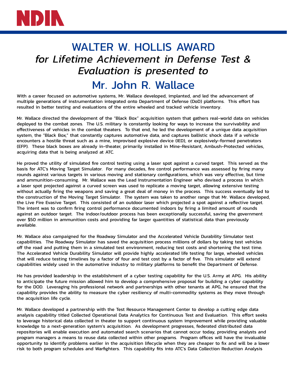

## WALTER W. HOLLIS AWARD *for Lifetime Achievement in Defense Test & Evaluation is presented to* Mr. John R. Wallace

With a career focused on automotive systems, Mr. Wallace developed, implanted, and led the advancement of multiple generations of instrumentation integrated onto Department of Defense (DoD) platforms. This effort has resulted in better testing and evaluations of the entire wheeled and tracked vehicle inventory.

Mr. Wallace directed the development of the "Black Box" acquisition system that gathers real-world data on vehicles deployed to the combat zones. The U.S. military is constantly looking for ways to increase the survivability and effectiveness of vehicles in the combat theaters. To that end, he led the development of a unique data acquisition system, the "Black Box," that constantly captures automotive data, and captures ballistic shock data if a vehicle encounters a hostile threat such as a mine, improvised explosive device (IED), or explosively-formed penetrators (EFP). These black boxes are already in-theater, primarily installed in Mine-Resistant, Ambush-Protected vehicles, acquiring data that is being analyzed at ATC.

He proved the utility of simulated fire control testing using a laser spot against a curved target. This served as the basis for ATC's Moving Target Simulator. For many decades, fire control performance was assessed by firing many rounds against various targets in various moving and stationary configurations, which was very effective, but time and ammunition-consuming. Mr. Wallace was the Lead Instrumentation Engineer who devised a process in which a laser spot projected against a curved screen was used to replicate a moving target, allowing extensive testing without actually firing the weapons and saving a great deal of money in the process. This success eventually led to the construction of the Moving Target Simulator. The system was taken to another range that Mr. Wallace developed, the Live Fire Evasive Target. This consisted of an outdoor laser which projected a spot against a reflective target. The intent was to confirm firing control performance documented indoors by firing a limited amount of rounds against an outdoor target. The indoor/outdoor process has been exceptionally successful, saving the government over \$50 million in ammunition costs and providing far larger quantities of statistical data than previously available.

Mr. Wallace also campaigned for the Roadway Simulator and the Accelerated Vehicle Durability Simulator test capabilities. The Roadway Simulator has saved the acquisition process millions of dollars by taking test vehicles off the road and putting them in a simulated test environment, reducing test costs and shortening the test time. The Accelerated Vehicle Durability Simulator will provide highly accelerated life testing for large, wheeled vehicles that will reduce testing timelines by a factor of four and test cost by a factor of five. This simulator will extend capabilities widely used in the automotive industry to military platforms to benefit the Department of Defense.

He has provided leadership in the establishment of a cyber testing capability for the U.S. Army at APG. His ability to anticipate the future mission allowed him to develop a comprehensive proposal for building a cyber capability for the DOD. Leveraging his professional network and partnerships with other tenants at APG, he ensured that the capability provides the ability to measure the cyber resiliency of multi-commodity systems as they move through the acquisition life cycle.

Mr. Wallace developed a partnership with the Test Resource Management Center to develop a cutting edge data analysis capability titled Collected Operational Data Analytics for Continuous Test and Evaluation. This effort seeks to leverage historical data collected in theater to support continuous system improvement while providing valuable knowledge to a next-generation system's acquisition. As development progresses, federated distributed data repositories will enable execution and automated search scenarios that cannot occur today, providing analysts and program managers a means to reuse data collected within other programs. Program offices will have the invaluable opportunity to identify problems earlier in the acquisition lifecycle when they are cheaper to fix and will be a lower risk to both program schedules and Warfighters. This capability fits into ATC's Data Collection Reduction Analysis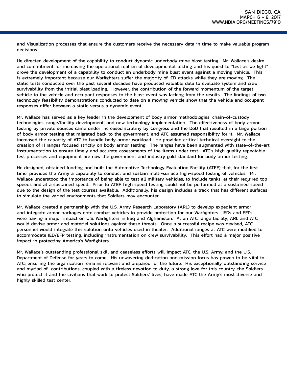and Visualization processes that ensure the customers receive the necessary data in time to make valuable program decisions.

He directed development of the capability to conduct dynamic underbody mine blast testing. Mr. Wallace's desire and commitment for increasing the operational realism of developmental testing and his quest to "test as we fight" drove the development of a capability to conduct an underbody mine blast event against a moving vehicle. This is extremely important because our Warfighters suffer the majority of IED attacks while they are moving. The static tests conducted over the past several decades have produced valuable data to evaluate system and crew survivability from the initial blast loading. However, the contribution of the forward momentum of the target vehicle to the vehicle and occupant responses to the blast event was lacking from the results. The findings of two technology feasibility demonstrations conducted to date on a moving vehicle show that the vehicle and occupant responses differ between a static versus a dynamic event.

Mr. Wallace has served as a key leader in the development of body armor methodologies, chain-of-custody technologies, range/facility development, and new technology implementation. The effectiveness of body armor testing by private sources came under increased scrutiny by Congress and the DoD that resulted in a large portion of body armor testing that migrated back to the government, and ATC assumed responsibility for it. Mr. Wallace increased the capacity of ATC to handle body armor workload. He provided critical technical oversight to the creation of 11 ranges focused strictly on body armor testing. The ranges have been augmented with state-of-the-art instrumentation to ensure timely and accurate assessments of the items under test. ATC's high quality repeatable test processes and equipment are now the government and industry gold standard for body armor testing.

He designed, obtained funding and built the Automotive Technology Evaluation Facility (ATEF) that, for the first time, provides the Army a capability to conduct and sustain multi-surface high-speed testing of vehicles. Mr. Wallace understood the importance of being able to test all military vehicles, to include tanks, at their required top speeds and at a sustained speed. Prior to ATEF, high speed testing could not be performed at a sustained speed due to the design of the test courses available. Additionally, his design includes a track that has different surfaces to simulate the varied environments that Soldiers may encounter.

Mr. Wallace created a partnership with the U.S. Army Research Laboratory (ARL) to develop expedient armor and integrate armor packages onto combat vehicles to provide protection for our Warfighters. IEDs and EFPs were having a major impact on U.S. Warfighters in Iraq and Afghanistan. At an ATC range facility, ARL and ATC would devise armor and materiel solutions against these threats. Once a successful recipe was devised, ATC personnel would integrate this solution onto vehicles used in theater. Additional ranges at ATC were modified to accommodate IED/EFP testing, including instrumentation on crew survivability. This effort had a major positive impact in protecting America's Warfighters.

Mr. Wallace's outstanding professional skill and ceaseless efforts will impact ATC, the U.S. Army, and the U.S. Department of Defense for years to come. His unwavering dedication and mission focus has proven to be vital to ATC; ensuring the organization remains relevant and prepared for the future. His exceptionally outstanding service and myriad of contributions, coupled with a tireless devotion to duty, a strong love for this country, the Soldiers who protect it and the civilians that work to protect Soldiers' lives, have made ATC the Army's most diverse and highly skilled test center.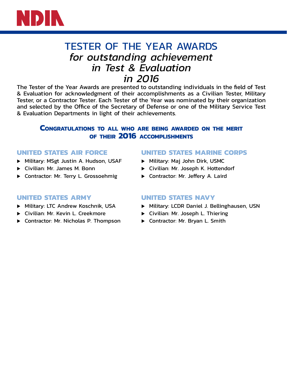

## TESTER OF THE YEAR AWARDS *for outstanding achievement in Test & Evaluation in 2016*

The Tester of the Year Awards are presented to outstanding individuals in the field of Test & Evaluation for acknowledgment of their accomplishments as a Civilian Tester, Military Tester, or a Contractor Tester. Each Tester of the Year was nominated by their organization and selected by the Office of the Secretary of Defense or one of the Military Service Test & Evaluation Departments in light of their achievements.

## **Congratulations to all who are being awarded on the merit of their 2016 accomplishments**

## **UNITED STATES AIR FORCE**

- Military: MSgt Justin A. Hudson, USAF
- $\triangleright$  Civilian: Mr. James M. Bonn
- **D** Contractor: Mr. Terry L. Grossoehmig

## **UNITED STATES MARINE CORPS**

- Military: Maj John Dirk, USMC
- ▶ Civilian: Mr. Joseph K. Hottendorf
- Contractor: Mr. Jeffery A. Laird

## **UNITED STATES ARMY**

- Military: LTC Andrew Koschnik, USA
- ▶ Civilian: Mr. Kevin L. Creekmore
- ▶ Contractor: Mr. Nicholas P. Thompson

## **UNITED STATES NAVY**

- Military: LCDR Daniel J. Bellinghausen, USN
- ▶ Civilian: Mr. Joseph L. Thiering
- Contractor: Mr. Bryan L. Smith